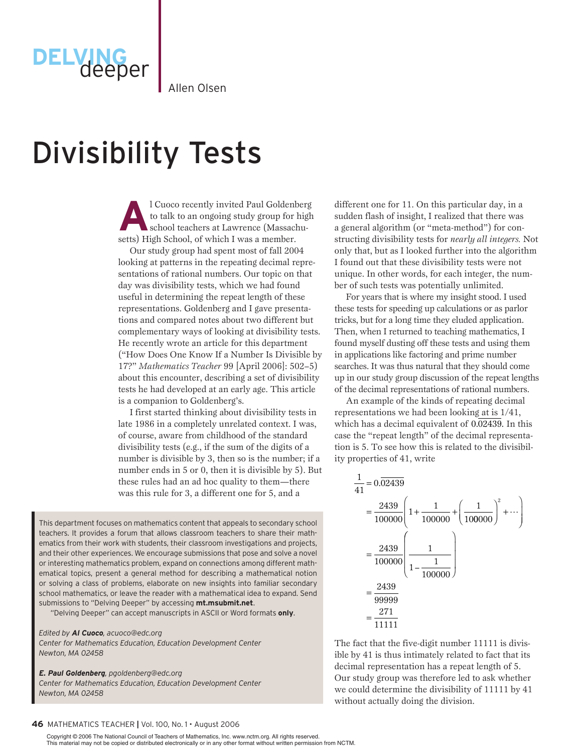Allen Olsen

# Divisibility Tests

deeper

1 Cuoco recently invited Paul Goldenberg<br>
to talk to an ongoing study group for high<br>
school teachers at Lawrence (Massachuto talk to an ongoing study group for high setts) High School, of which I was a member.

Our study group had spent most of fall 2004 looking at patterns in the repeating decimal representations of rational numbers. Our topic on that day was divisibility tests, which we had found useful in determining the repeat length of these representations. Goldenberg and I gave presentations and compared notes about two different but complementary ways of looking at divisibility tests. He recently wrote an article for this department ("How Does One Know If a Number Is Divisible by 17?" *Mathematics Teacher* 99 [April 2006]: 502–5) about this encounter, describing a set of divisibility tests he had developed at an early age. This article is a companion to Goldenberg's.

I first started thinking about divisibility tests in late 1986 in a completely unrelated context. I was, of course, aware from childhood of the standard divisibility tests (e.g., if the sum of the digits of a number is divisible by 3, then so is the number; if a number ends in 5 or 0, then it is divisible by 5). But these rules had an ad hoc quality to them—there was this rule for 3, a different one for 5, and a

This department focuses on mathematics content that appeals to secondary school teachers. It provides a forum that allows classroom teachers to share their mathematics from their work with students, their classroom investigations and projects, and their other experiences. We encourage submissions that pose and solve a novel or interesting mathematics problem, expand on connections among different mathematical topics, present a general method for describing a mathematical notion or solving a class of problems, elaborate on new insights into familiar secondary school mathematics, or leave the reader with a mathematical idea to expand. Send submissions to "Delving Deeper" by accessing **mt.msubmit.net**.

"Delving Deeper" can accept manuscripts in ASCII or Word formats **only**.

*Edited by Al Cuoco, acuoco@edc.org Center for Mathematics Education, Education Development Center Newton, MA 02458*

*E. Paul Goldenberg, pgoldenberg@edc.org Center for Mathematics Education, Education Development Center Newton, MA 02458*

#### **46** Mathematics Teacher **|** Vol. 100, No. 1 • August 2006

 This material may not be copied or distributed electronically or in any other format without written permission from NCTM. Copyright © 2006 The National Council of Teachers of Mathematics, Inc. www.nctm.org. All rights reserved.

different one for 11. On this particular day, in a sudden flash of insight, I realized that there was a general algorithm (or "meta-method") for constructing divisibility tests for *nearly all integers.* Not only that, but as I looked further into the algorithm I found out that these divisibility tests were not unique. In other words, for each integer, the number of such tests was potentially unlimited.

For years that is where my insight stood. I used these tests for speeding up calculations or as parlor tricks, but for a long time they eluded application. Then, when I returned to teaching mathematics, I found myself dusting off these tests and using them in applications like factoring and prime number searches. It was thus natural that they should come up in our study group discussion of the repeat lengths of the decimal representations of rational numbers.

An example of the kinds of repeating decimal representations we had been looking at is 1/41, which has a decimal equivalent of 0.02439. In this tion is 5. To see how this is related to the divisibilcase the "repeat length" of the decimal representaity properties of 41, write

$$
\frac{1}{41} = 0.\overline{02439}
$$
\n
$$
= \frac{2439}{100000} \left( 1 + \frac{1}{100000} + \left( \frac{1}{100000} \right)^2 + \cdots \right)
$$
\n
$$
= \frac{2439}{100000} \left( \frac{1}{1 - \frac{1}{100000}} \right)
$$
\n
$$
= \frac{2439}{99999}
$$
\n
$$
= \frac{271}{11111}
$$

<sup>11</sup> is divis eat len<br>ad to a 3 Our study group was therefore led to ask whether is the mate and the approximately related to fact that its one by 41 is thus intimately related to fact that i<br>decimal representation has a repeat length of 5. we could determine the divisibility<br>without actually doing the division. The fact that the five-digit number 11111 is diviswe could determine the divisibility of 11111 by 41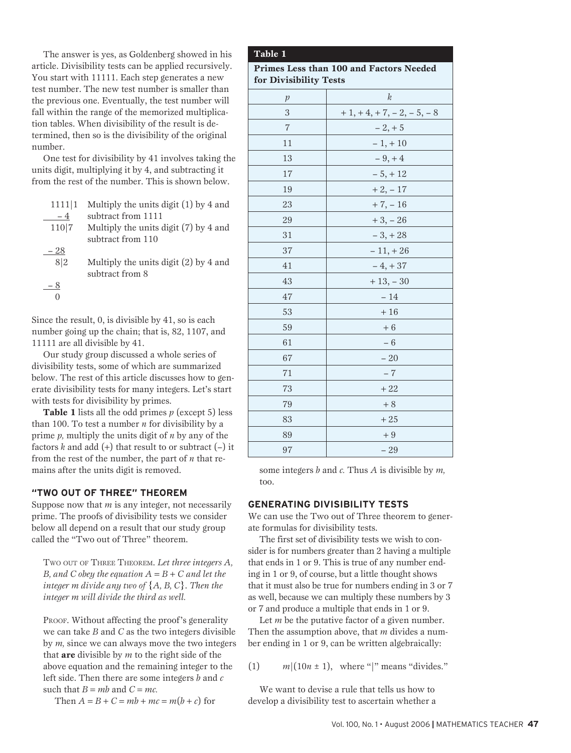The answer is yes, as Goldenberg showed in his article. Divisibility tests can be applied recursively. You start with 11111. Each step generates a new test number. The new test number is smaller than the previous one. Eventually, the test number will fall within the range of the memorized multiplication tables. When divisibility of the result is determined, then so is the divisibility of the original number.

One test for divisibility by 41 involves taking the units digit, multiplying it by 4, and subtracting it from the rest of the number. This is shown below.

| 1111 1 | Multiply the units digit $(1)$ by 4 and                    |
|--------|------------------------------------------------------------|
| $-4$   | subtract from 1111                                         |
| 110 7  | Multiply the units digit (7) by 4 and                      |
|        | subtract from 110                                          |
| 28     |                                                            |
| 8 2    | Multiply the units digit $(2)$ by 4 and<br>subtract from 8 |
| - 8    |                                                            |
|        |                                                            |

Since the result, 0, is divisible by 41, so is each number going up the chain; that is, 82, 1107, and 11111 are all divisible by 41.

Our study group discussed a whole series of divisibility tests, some of which are summarized below. The rest of this article discusses how to generate divisibility tests for many integers. Let's start with tests for divisibility by primes.

**Table 1** lists all the odd primes *p* (except 5) less than 100. To test a number  $n$  for divisibility by a prime *p,* multiply the units digit of *n* by any of the factors  $k$  and add  $(+)$  that result to or subtract  $(-)$  it from the rest of the number, the part of *n* that remains after the units digit is removed.

### **"TWO OUT OF THREE" THEOREM**

Suppose now that *m* is any integer, not necessarily prime. The proofs of divisibility tests we consider below all depend on a result that our study group called the "Two out of Three" theorem.

Two out of Three Theorem. *Let three integers A, B, and C obey the equation*  $A = B + C$  *and let the integer m divide any two of* {*A, B, C*}. *Then the integer m will divide the third as well.*

PROOF. Without affecting the proof's generality we can take *B* and *C* as the two integers divisible by *m,* since we can always move the two integers that **are** divisible by *m* to the right side of the above equation and the remaining integer to the left side. Then there are some integers *b* and *c* such that  $B = mb$  and  $C = mc$ .

Then  $A = B + C = mb + mc = m(b + c)$  for

# **Table 1**

**Primes Less than 100 and Factors Needed for Divisibility Tests**

| ັ              |                          |
|----------------|--------------------------|
| $\,p$          | $\boldsymbol{k}$         |
| 3              | $+1, +4, +7, -2, -5, -8$ |
| $\overline{7}$ | $-2, +5$                 |
| 11             | $-1, +10$                |
| 13             | $-9, +4$                 |
| 17             | $-5, +12$                |
| 19             | $+2, -17$                |
| 23             | $+7, -16$                |
| 29             | $+3, -26$                |
| 31             | $-3, +28$                |
| 37             | $-11, +26$               |
| 41             | $-4, +37$                |
| 43             | $+13, -30$               |
| 47             | $-14$                    |
| 53             | $+16$                    |
| 59             | $+6$                     |
| 61             | $-6$                     |
| 67             | $-20$                    |
| 71             | $-7$                     |
| 73             | $+22$                    |
| 79             | $+8$                     |
| 83             | $+25$                    |
| 89             | $+9$                     |
| 97             | $-29$                    |

some integers *b* and *c.* Thus *A* is divisible by *m,* too.

# **GENERATING DIVISIBILITY TESTS**

We can use the Two out of Three theorem to generate formulas for divisibility tests.

The first set of divisibility tests we wish to consider is for numbers greater than 2 having a multiple that ends in 1 or 9. This is true of any number ending in 1 or 9, of course, but a little thought shows that it must also be true for numbers ending in 3 or 7 as well, because we can multiply these numbers by 3 or 7 and produce a multiple that ends in 1 or 9.

Let *m* be the putative factor of a given number. Then the assumption above, that *m* divides a number ending in 1 or 9, can be written algebraically:

(1)  $m|(10n \pm 1)$ , where "|" means "divides."

We want to devise a rule that tells us how to develop a divisibility test to ascertain whether a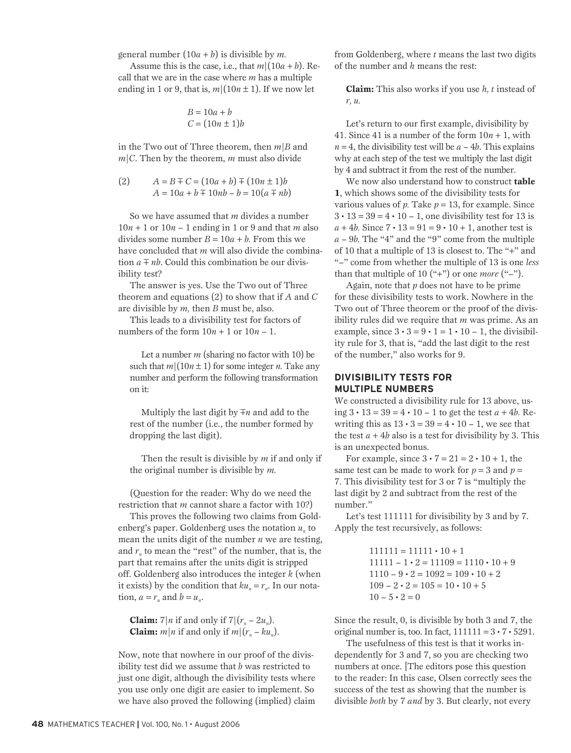general number  $(10a + b)$  is divisible by *m*.

Assume this is the case, i.e., that  $m|(10a + b)$ . Recall that we are in the case where *m* has a multiple ending in 1 or 9, that is,  $m|(10n \pm 1)$ . If we now let

$$
B = 10a + b
$$

$$
C = (10n \pm 1)b
$$

in the Two out of Three theorem, then *m*|*B* and  $m/C$ . Then by the theorem, *m* must also divide

(2) 
$$
A = B \mp C = (10a + b) \mp (10n \pm 1)b
$$

$$
A = 10a + b \mp 10nb - b = 10(a \mp nb)
$$

So we have assumed that *m* divides a number  $10n + 1$  or  $10n - 1$  ending in 1 or 9 and that *m* also divides some number  $B = 10a + b$ . From this we have concluded that *m* will also divide the combination  $a \mp nb$ . Could this combination be our divisibility test?

The answer is yes. Use the Two out of Three theorem and equations (2) to show that if *A* and *C* are divisible by *m,* then *B* must be, also.

This leads to a divisibility test for factors of numbers of the form  $10n + 1$  or  $10n - 1$ .

Let a number *m* (sharing no factor with 10) be such that  $m|(10n \pm 1)$  for some integer *n*. Take any number and perform the following transformation on it:

Multiply the last digit by  $\overline{+}n$  and add to the rest of the number (i.e., the number formed by dropping the last digit).

Then the result is divisible by *m* if and only if the original number is divisible by *m.*

(Question for the reader: Why do we need the restriction that *m* cannot share a factor with 10?)

This proves the following two claims from Goldenberg's paper. Goldenberg uses the notation  $u_n$  to mean the units digit of the number *n* we are testing, and  $r_n$  to mean the "rest" of the number, that is, the part that remains after the units digit is stripped off. Goldenberg also introduces the integer *k* (when it exists) by the condition that  $ku_n = r_n$ . In our notation,  $a = r_n$  and  $b = u_n$ .

**Claim:**  $7|n$  if and only if  $7|(r_n - 2u_n)$ . **Claim:**  $m|n$  if and only if  $m|(r_n - ku_n)$ .

Now, note that nowhere in our proof of the divisibility test did we assume that *b* was restricted to just one digit, although the divisibility tests where you use only one digit are easier to implement. So we have also proved the following (implied) claim from Goldenberg, where *t* means the last two digits of the number and *h* means the rest:

**Claim:** This also works if you use *h, t* instead of *r, u.*

Let's return to our first example, divisibility by 41. Since 41 is a number of the form  $10n + 1$ , with  $n = 4$ , the divisibility test will be  $a - 4b$ . This explains why at each step of the test we multiply the last digit by 4 and subtract it from the rest of the number.

We now also understand how to construct **table 1**, which shows some of the divisibility tests for various values of  $p$ . Take  $p = 13$ , for example. Since  $3 \cdot 13 = 39 = 4 \cdot 10 - 1$ , one divisibility test for 13 is  $a + 4b$ . Since  $7 \cdot 13 = 91 = 9 \cdot 10 + 1$ , another test is *a* – 9*b.* The "4" and the "9" come from the multiple of 10 that a multiple of 13 is closest to. The "+" and "–" come from whether the multiple of 13 is one *less* than that multiple of 10 ("+") or one *more* ("–").

Again, note that *p* does not have to be prime for these divisibility tests to work. Nowhere in the Two out of Three theorem or the proof of the divisibility rules did we require that *m* was prime. As an example, since  $3 \cdot 3 = 9 \cdot 1 = 1 \cdot 10 - 1$ , the divisibility rule for 3, that is, "add the last digit to the rest of the number," also works for 9.

# **DIVISIBILITY TESTS FOR MULTIPLE NUMBERS**

We constructed a divisibility rule for 13 above, using 3 • 13 = 39 = 4 • 10 – 1 to get the test *a* + 4*b.* Rewriting this as  $13 \cdot 3 = 39 = 4 \cdot 10 - 1$ , we see that the test  $a + 4b$  also is a test for divisibility by 3. This is an unexpected bonus.

For example, since  $3 \cdot 7 = 21 = 2 \cdot 10 + 1$ , the same test can be made to work for  $p = 3$  and  $p =$ 7. This divisibility test for 3 or 7 is "multiply the last digit by 2 and subtract from the rest of the number."

Let's test 111111 for divisibility by 3 and by 7. Apply the test recursively, as follows:

> $111111 = 11111 \cdot 10 + 1$  $11111 - 1 \cdot 2 = 11109 = 1110 \cdot 10 + 9$  $1110 - 9 \cdot 2 = 1092 = 109 \cdot 10 + 2$  $109 - 2 \cdot 2 = 105 = 10 \cdot 10 + 5$  $10 - 5 \cdot 2 = 0$

Since the result, 0, is divisible by both 3 and 7, the original number is, too. In fact,  $111111 = 3 \cdot 7 \cdot 5291$ .

The usefulness of this test is that it works independently for 3 and 7, so you are checking two numbers at once. [The editors pose this question to the reader: In this case, Olsen correctly sees the success of the test as showing that the number is divisible *both* by 7 *and* by 3. But clearly, not every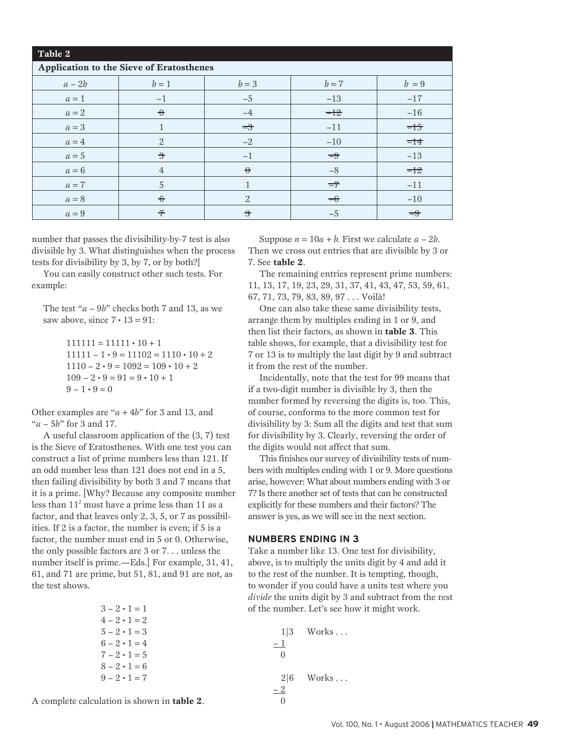| Table 2 |                                          |                       |       |               |
|---------|------------------------------------------|-----------------------|-------|---------------|
|         | Application to the Sieve of Eratosthenes |                       |       |               |
| $a-2b$  | $b=1$                                    | $b=3$                 | $b=7$ | $b=9$         |
| $a=1$   | $-1$                                     | $-5$                  | $-13$ | $-17$         |
| $a=2$   | $\theta$                                 | $-4$                  | $=12$ | $-16$         |
| $a=3$   |                                          | $\equiv$ <sup>3</sup> | $-11$ | $=15$         |
| $a=4$   | 2                                        | $-2$                  | $-10$ | $=14$         |
| $a=5$   | $\rightarrow$                            | $-1$                  | $=9$  | $-13$         |
| $a=6$   | $\overline{4}$                           | $\theta$              | $-8$  | $=12$         |
| $a=7$   | 5                                        |                       | $=7$  | $-11$         |
| $a=8$   | $\hat{\tau}$                             | $\overline{2}$        | $=6$  | $-10$         |
| $a=9$   | $\overline{\tau}$                        | $\ddot{\mathbf{z}}$   | $-5$  | $\Rightarrow$ |

number that passes the divisibility-by-7 test is also divisible by 3. What distinguishes when the process tests for divisibility by 3, by 7, or by both?]

You can easily construct other such tests. For example:

The test "*a* – 9*b*" checks both 7 and 13, as we saw above, since  $7 \cdot 13 = 91$ :

> $111111 = 11111 \cdot 10 + 1$  $11111 - 1 \cdot 9 = 11102 = 1110 \cdot 10 + 2$  $1110 - 2 \cdot 9 = 1092 = 109 \cdot 10 + 2$  $109 - 2 \cdot 9 = 91 = 9 \cdot 10 + 1$  $9 - 1 \cdot 9 = 0$

Other examples are "*a* + 4*b*" for 3 and 13, and "*a* – 5*b*" for 3 and 17.

A useful classroom application of the (3, 7) test is the Sieve of Eratosthenes. With one test you can construct a list of prime numbers less than 121. If an odd number less than 121 does not end in a 5, then failing divisibility by both 3 and 7 means that it is a prime. [Why? Because any composite number less than  $11<sup>2</sup>$  must have a prime less than 11 as a factor, and that leaves only 2, 3, 5, or 7 as possibilities. If 2 is a factor, the number is even; if 5 is a factor, the number must end in 5 or 0. Otherwise, the only possible factors are 3 or 7. . . unless the number itself is prime.—Eds.] For example, 31, 41, 61, and 71 are prime, but 51, 81, and 91 are not, as the test shows.

| $3 - 2 \cdot 1 = 1$ |
|---------------------|
| $4 - 2 \cdot 1 = 2$ |
| $5 - 2 \cdot 1 = 3$ |
| $6 - 2 \cdot 1 = 4$ |
| $7 - 2 \cdot 1 = 5$ |
| $8 - 2 \cdot 1 = 6$ |
| $9 - 2 \cdot 1 = 7$ |

A complete calculation is shown in **table 2**.

Suppose  $n = 10a + b$ . First we calculate  $a - 2b$ . Then we cross out entries that are divisible by 3 or 7. See **table 2**.

The remaining entries represent prime numbers: 11, 13, 17, 19, 23, 29, 31, 37, 41, 43, 47, 53, 59, 61, 67, 71, 73, 79, 83, 89, 97 . . . Voilà!

One can also take these same divisibility tests, arrange them by multiples ending in 1 or 9, and then list their factors, as shown in **table 3**. This table shows, for example, that a divisibility test for 7 or 13 is to multiply the last digit by 9 and subtract it from the rest of the number.

Incidentally, note that the test for 99 means that if a two-digit number is divisible by 3, then the number formed by reversing the digits is, too. This, of course, conforms to the more common test for divisibility by 3: Sum all the digits and test that sum for divisibility by 3. Clearly, reversing the order of the digits would not affect that sum.

This finishes our survey of divisibility tests of numbers with multiples ending with 1 or 9. More questions arise, however: What about numbers ending with 3 or 7? Is there another set of tests that can be constructed explicitly for these numbers and their factors? The answer is yes, as we will see in the next section.

#### **NUMBERS ENDING IN 3**

Take a number like 13. One test for divisibility, above, is to multiply the units digit by 4 and add it to the rest of the number. It is tempting, though, to wonder if you could have a units test where you *divide* the units digit by 3 and subtract from the rest of the number. Let's see how it might work.

> $1|3$  Works ...  $-1$ 0  $2|6$  Works ...  $-2$  $\theta$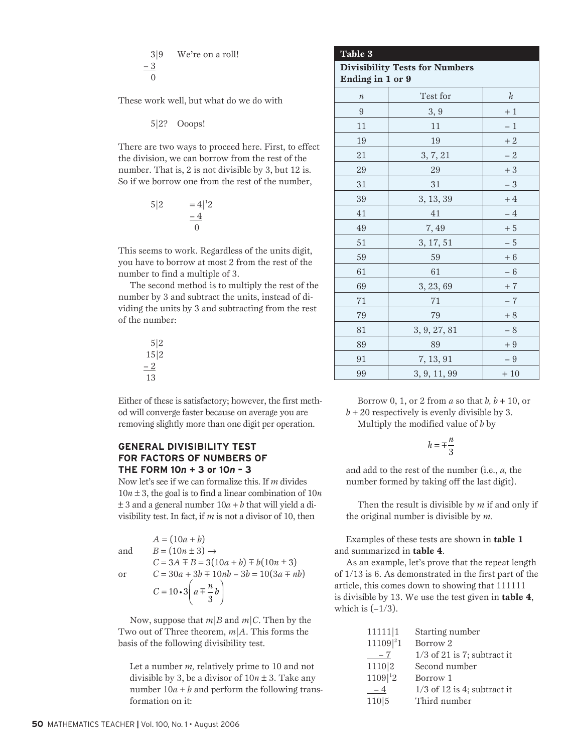$$
3|9 \tWe're on a roll!\n-3\n0
$$

These work well, but what do we do with

5|2? Ooops!

There are two ways to proceed here. First, to effect the division, we can borrow from the rest of the number. That is, 2 is not divisible by 3, but 12 is. So if we borrow one from the rest of the number,

$$
5|2 = 4|^2 2 = \frac{4}{0}
$$

This seems to work. Regardless of the units digit, you have to borrow at most 2 from the rest of the number to find a multiple of 3.

The second method is to multiply the rest of the number by 3 and subtract the units, instead of dividing the units by 3 and subtracting from the rest of the number:

> 5|2 15|2  $-2$ 13

Either of these is satisfactory; however, the first method will converge faster because on average you are 1 or will converge raster because on average you are<br>removing slightly more than one digit per operation.

#### **GENERAL DIVISIBILITY TEST FOR FACTORS OF NUMBERS OF THE FORM 10***n* **+ 3 or 10***n* **– 3 BILITY TEST**

Now let's see if we can formalize this. If m divides  $10n \pm 3$ , the goal is to find a linear combination of  $10n$  $\pm 3$  and a general number  $10a + b$  that will yield a di-<br> $\pm 3$  and a general number  $10a + b$  that will yield a divisibility test. In fact, if  $m$  is not a divisor of 10, then Ĵ I. .<br>+

|     | $A = (10a + b)$                                     |
|-----|-----------------------------------------------------|
| and | $B = (10n \pm 3) \rightarrow$                       |
|     | $C = 3A \mp B = 3(10a + b) \mp b(10n \pm 3)$        |
| or  | $C = 30a + 3b \mp 10nb - 3b = 10(3a \mp nb)$        |
|     | $C = 10 \cdot 3 \left( a \mp \frac{n}{3} b \right)$ |

 $\lim_{n \to \infty} \frac{1}{n}$  and  $\lim_{n \to \infty} \frac{1}{n}$  and  $\lim_{n \to \infty} \frac{1}{n}$  and  $\lim_{n \to \infty} \frac{1}{n}$ basis of the following divisibility test. Now, suppose that *m*|*B* and *m*|*C*. Then by the

divisible by 3, be a divisor of  $10n \pm 3$ . Take any Let a number *m*, relatively prime to 10 and not number  $10a + b$  and perform the following transformation on it:

| Table 3                                                   |              |       |
|-----------------------------------------------------------|--------------|-------|
| <b>Divisibility Tests for Numbers</b><br>Ending in 1 or 9 |              |       |
|                                                           |              |       |
| $\boldsymbol{n}$                                          | Test for     | k     |
| 9                                                         | 3, 9         | $+1$  |
| 11                                                        | 11           | - 1   |
| 19                                                        | 19           | $+2$  |
| 21                                                        | 3, 7, 21     | $-2$  |
| 29                                                        | 29           | $+3$  |
| 31                                                        | 31           | $-3$  |
| 39                                                        | 3, 13, 39    | $+4$  |
| 41                                                        | 41           | $-4$  |
| 49                                                        | 7,49         | $+5$  |
| 51                                                        | 3, 17, 51    | $-5$  |
| 59                                                        | 59           | $+6$  |
| 61                                                        | 61           | $-6$  |
| 69                                                        | 3, 23, 69    | $+7$  |
| 71                                                        | 71           | $-7$  |
| 79                                                        | 79           | $+8$  |
| 81                                                        | 3, 9, 27, 81 | $-8$  |
| 89                                                        | 89           | $+9$  |
| 91                                                        | 7, 13, 91    | $-9$  |
| 99                                                        | 3, 9, 11, 99 | $+10$ |

| Borrow 0, 1, or 2 from a so that b, $b + 10$ , or |
|---------------------------------------------------|
| $b + 20$ respectively is evenly divisible by 3.   |

Multiply the modified value of *b* by

$$
k = \pm \frac{n}{3}
$$

 $\overline{0}$ number formed by taking off the last digit). and add to the rest of the number (i.e., *a,* the

Then the result is divisible by *m* if and only if the original number is divisible by *m.*

Examples of these tests are shown in **table 1** and summarized in **table 4**.

As an example, let's prove that the repeat length of 1/13 is 6. As demonstrated in the first part of the article, this comes down to showing that 111111 is divisible by 13. We use the test given in **table 4**, which is  $(-1/3)$ .

| 11111 1                | Starting number               |
|------------------------|-------------------------------|
| $11109$ <sup>2</sup> 1 | Borrow <sub>2</sub>           |
| $-7$                   | $1/3$ of 21 is 7; subtract it |
| 1110 2                 | Second number                 |
| $1109 ^{12}$           | Borrow 1                      |
| $-4$                   | $1/3$ of 12 is 4; subtract it |
| 110 5                  | Third number                  |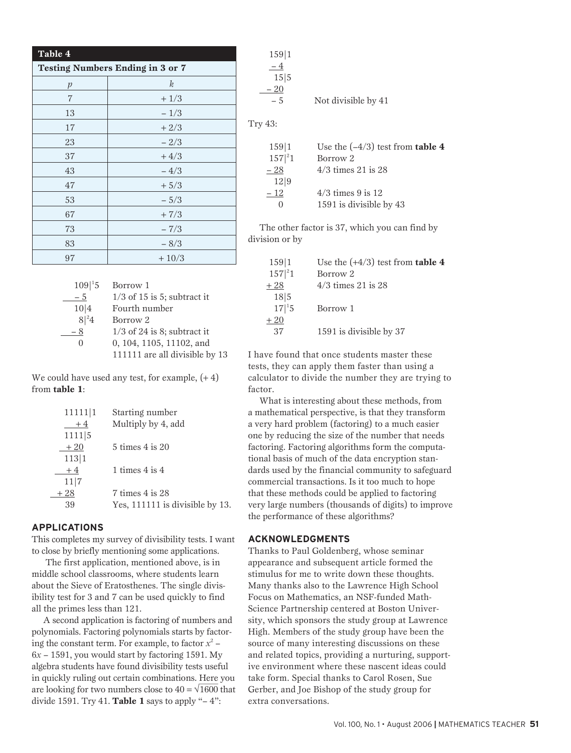| Table 4                                 |                  |  |
|-----------------------------------------|------------------|--|
| <b>Testing Numbers Ending in 3 or 7</b> |                  |  |
| $\mathcal{p}$                           | $\boldsymbol{k}$ |  |
| 7                                       | $+1/3$           |  |
| 13                                      | $-1/3$           |  |
| 17                                      | $+2/3$           |  |
| 23                                      | $-2/3$           |  |
| 37                                      | $+4/3$           |  |
| 43                                      | $-4/3$           |  |
| 47                                      | $+5/3$           |  |
| 53                                      | $-5/3$           |  |
| 67                                      | $+7/3$           |  |
| 73                                      | $-7/3$           |  |
| 83                                      | $-8/3$           |  |
| 97                                      | $+10/3$          |  |

| $109 {}^{1}5$ | Borrow 1                       |
|---------------|--------------------------------|
| - 5           | $1/3$ of 15 is 5; subtract it  |
| 10 4          | Fourth number                  |
| $8^{2}4$      | Borrow <sub>2</sub>            |
| - 8           | $1/3$ of 24 is 8; subtract it  |
| $\mathcal{L}$ | 0, 104, 1105, 11102, and       |
|               | 111111 are all divisible by 13 |

We could have used any test, for example,  $(+4)$ from **table 1**:

| 11111 1 | Starting number                 |
|---------|---------------------------------|
| $+4$    | Multiply by 4, add              |
| 1111 5  |                                 |
| $+20$   | 5 times 4 is 20                 |
| 113 1   |                                 |
| $+4$    | 1 times $4$ is $4$              |
| 11 7    |                                 |
| $+28$   | $7 \times 4$ is 28              |
| 39      | Yes, 111111 is divisible by 13. |
|         |                                 |

# **APPLICATIONS**

This completes my survey of divisibility tests. I want to close by briefly mentioning some applications.

 The first application, mentioned above, is in middle school classrooms, where students learn about the Sieve of Eratosthenes. The single divisibility test for 3 and 7 can be used quickly to find all the primes less than 121.

A second application is factoring of numbers and polynomials. Factoring polynomials starts by factoring the constant term. For example, to factor  $x^2$  – 6*x* – 1591, you would start by factoring 1591. My algebra students have found divisibility tests useful in quickly ruling out certain combinations. Here you are looking for two numbers close to  $40 = \sqrt{1600}$  that divide 1591. Try 41. **Table 1** says to apply "– 4":

| 129 1       |                                           |
|-------------|-------------------------------------------|
| $-4$        |                                           |
| 15 5        |                                           |
| $-20$       |                                           |
| $-5$        | Not divisible by 41                       |
| Try 43:     |                                           |
| 159 1       | Use the $(-4/3)$ test from <b>table 4</b> |
| $157 ^{2}1$ | Borrow <sub>2</sub>                       |
| $-28$       | $4/3$ times 21 is 28                      |
| 12 9        |                                           |
| - 12        | $4/3$ times 9 is 12                       |
| 0           | 1591 is divisible by 43                   |

 $159$ 

The other factor is 37, which you can find by division or by

| 159 1       | Use the $(+4/3)$ test from table 4 |
|-------------|------------------------------------|
| $157 ^{2}1$ | Borrow <sub>2</sub>                |
| $+28$       | $4/3$ times 21 is 28               |
| 18 5        |                                    |
| $17 ^{1}5$  | Borrow 1                           |
| $+20$       |                                    |
| 37          | 1591 is divisible by 37            |
|             |                                    |

I have found that once students master these tests, they can apply them faster than using a calculator to divide the number they are trying to factor.

What is interesting about these methods, from a mathematical perspective, is that they transform a very hard problem (factoring) to a much easier one by reducing the size of the number that needs factoring. Factoring algorithms form the computational basis of much of the data encryption standards used by the financial community to safeguard commercial transactions. Is it too much to hope that these methods could be applied to factoring very large numbers (thousands of digits) to improve the performance of these algorithms?

#### **ACKNOWLEDGMENTS**

Thanks to Paul Goldenberg, whose seminar appearance and subsequent article formed the stimulus for me to write down these thoughts. Many thanks also to the Lawrence High School Focus on Mathematics, an NSF-funded Math-Science Partnership centered at Boston University, which sponsors the study group at Lawrence High. Members of the study group have been the source of many interesting discussions on these and related topics, providing a nurturing, supportive environment where these nascent ideas could take form. Special thanks to Carol Rosen, Sue Gerber, and Joe Bishop of the study group for extra conversations.